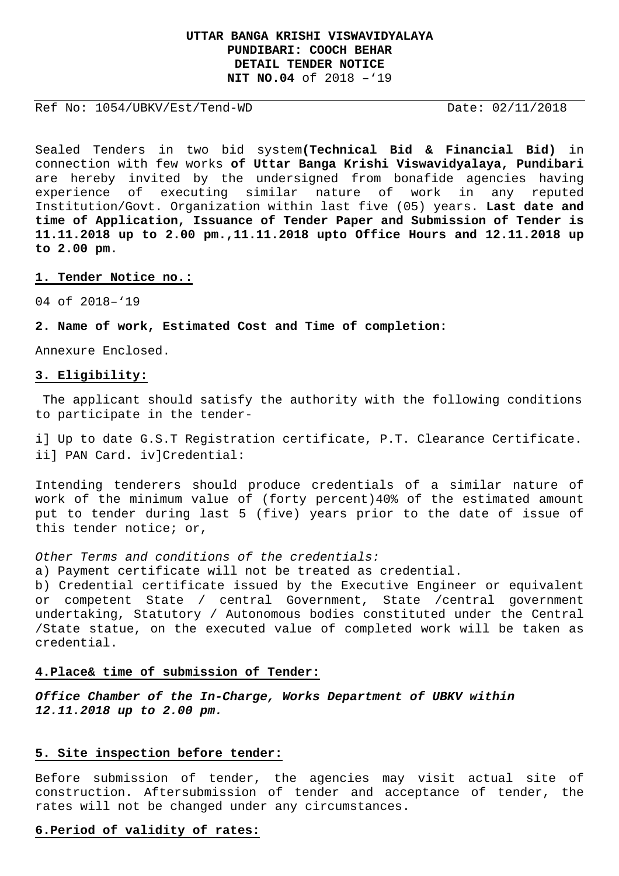# **UTTAR BANGA KRISHI VISWAVIDYALAYA PUNDIBARI: COOCH BEHAR DETAIL TENDER NOTICE NIT NO.04** of 2018 –'19

Ref No: 1054/UBKV/Est/Tend-WD Date: 02/11/2018

Sealed Tenders in two bid system**(Technical Bid & Financial Bid)** in connection with few works **of Uttar Banga Krishi Viswavidyalaya, Pundibari**  are hereby invited by the undersigned from bonafide agencies having experience of executing similar nature of work in any reputed Institution/Govt. Organization within last five (05) years. **Last date and time of Application, Issuance of Tender Paper and Submission of Tender is 11.11.2018 up to 2.00 pm.,11.11.2018 upto Office Hours and 12.11.2018 up to 2.00 pm**.

### **1. Tender Notice no.:**

04 of 2018–'19

**2. Name of work, Estimated Cost and Time of completion:**

Annexure Enclosed.

#### **3. Eligibility:**

 The applicant should satisfy the authority with the following conditions to participate in the tender-

i] Up to date G.S.T Registration certificate, P.T. Clearance Certificate. ii] PAN Card. iv]Credential:

Intending tenderers should produce credentials of a similar nature of work of the minimum value of (forty percent)40% of the estimated amount put to tender during last 5 (five) years prior to the date of issue of this tender notice; or,

Other Terms and conditions of the credentials:

a) Payment certificate will not be treated as credential.

b) Credential certificate issued by the Executive Engineer or equivalent or competent State / central Government, State /central government undertaking, Statutory / Autonomous bodies constituted under the Central /State statue, on the executed value of completed work will be taken as credential.

#### **4.Place& time of submission of Tender:**

**Office Chamber of the In-Charge, Works Department of UBKV within 12.11.2018 up to 2.00 pm.** 

### **5. Site inspection before tender:**

Before submission of tender, the agencies may visit actual site of construction. Aftersubmission of tender and acceptance of tender, the rates will not be changed under any circumstances.

#### **6.Period of validity of rates:**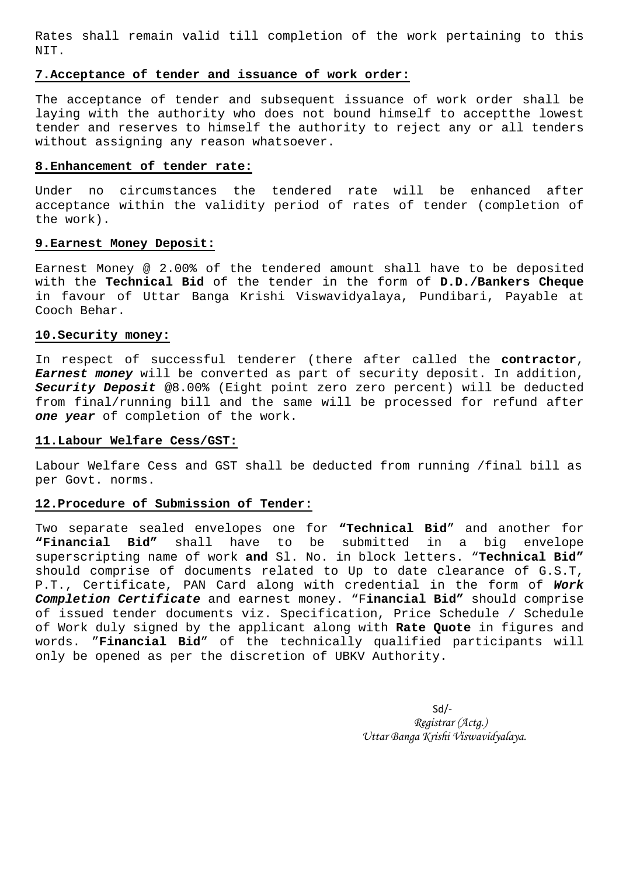Rates shall remain valid till completion of the work pertaining to this NIT.

## **7.Acceptance of tender and issuance of work order:**

The acceptance of tender and subsequent issuance of work order shall be laying with the authority who does not bound himself to acceptthe lowest tender and reserves to himself the authority to reject any or all tenders without assigning any reason whatsoever.

### **8.Enhancement of tender rate:**

Under no circumstances the tendered rate will be enhanced after acceptance within the validity period of rates of tender (completion of the work).

## **9.Earnest Money Deposit:**

Earnest Money @ 2.00% of the tendered amount shall have to be deposited with the **Technical Bid** of the tender in the form of **D.D./Bankers Cheque**  in favour of Uttar Banga Krishi Viswavidyalaya, Pundibari, Payable at Cooch Behar.

### **10.Security money:**

In respect of successful tenderer (there after called the **contractor**, **Earnest money** will be converted as part of security deposit. In addition, **Security Deposit** @8.00% (Eight point zero zero percent) will be deducted from final/running bill and the same will be processed for refund after **one year** of completion of the work.

## **11.Labour Welfare Cess/GST:**

Labour Welfare Cess and GST shall be deducted from running /final bill as per Govt. norms.

## **12.Procedure of Submission of Tender:**

Two separate sealed envelopes one for **"Technical Bid**" and another for **"Financial Bid"** shall have to be submitted in a big envelope superscripting name of work **and** Sl. No. in block letters. "**Technical Bid"**  should comprise of documents related to Up to date clearance of G.S.T, P.T., Certificate, PAN Card along with credential in the form of **Work Completion Certificate** and earnest money. "F**inancial Bid"** should comprise of issued tender documents viz. Specification, Price Schedule / Schedule of Work duly signed by the applicant along with **Rate Quote** in figures and words. "**Financial Bid**" of the technically qualified participants will only be opened as per the discretion of UBKV Authority.

> $Sd$  *Registrar (Actg.) Uttar Banga Krishi Viswavidyalaya.*